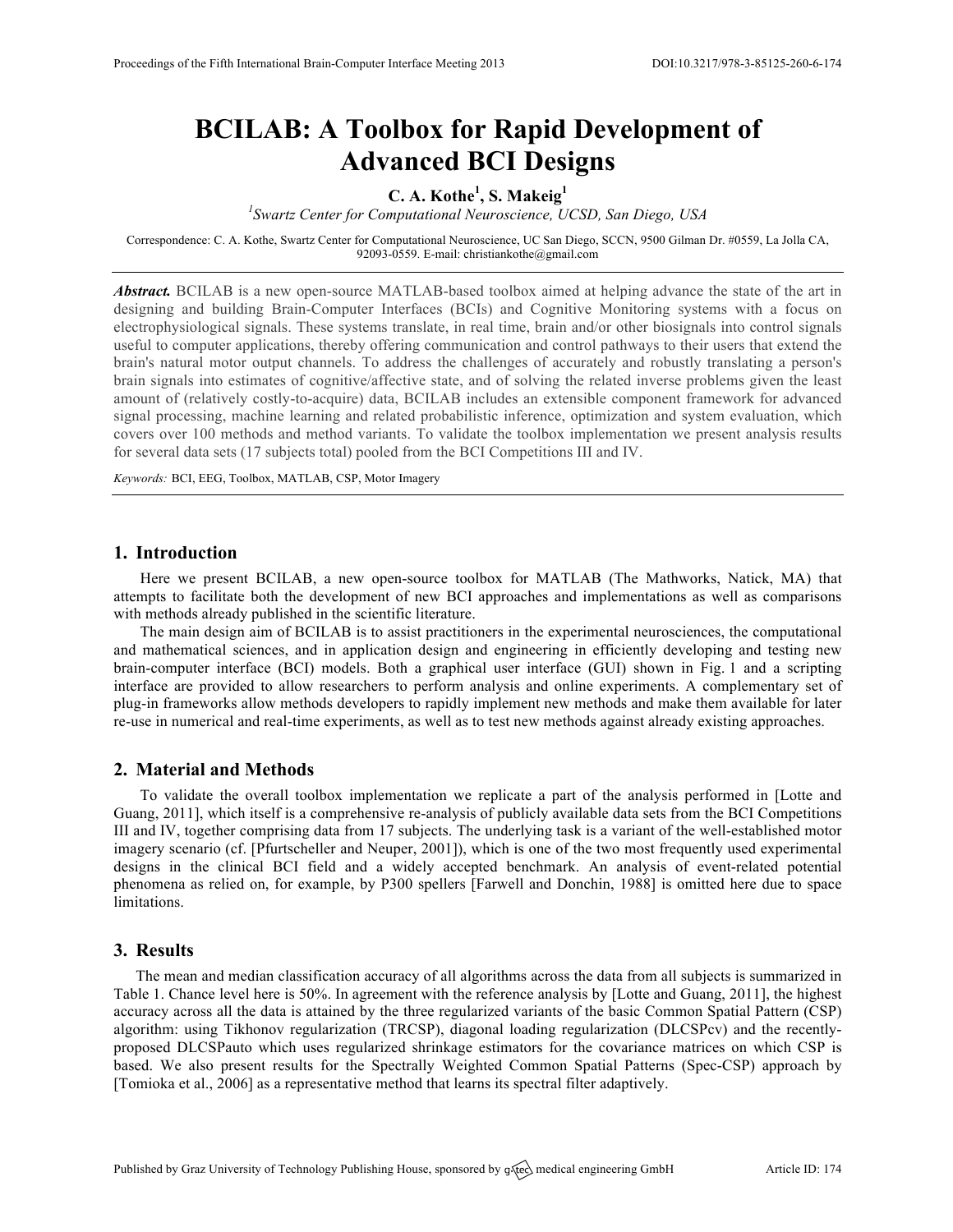# **BCILAB: A Toolbox for Rapid Development of Advanced BCI Designs**

# **C. A. Kothe<sup>1</sup> , S. Makeig<sup>1</sup>**

*1 Swartz Center for Computational Neuroscience, UCSD, San Diego, USA*

Correspondence: C. A. Kothe, Swartz Center for Computational Neuroscience, UC San Diego, SCCN, 9500 Gilman Dr. #0559, La Jolla CA, 92093-0559. E-mail: christiankothe@gmail.com

*Abstract.* BCILAB is a new open-source MATLAB-based toolbox aimed at helping advance the state of the art in designing and building Brain-Computer Interfaces (BCIs) and Cognitive Monitoring systems with a focus on electrophysiological signals. These systems translate, in real time, brain and/or other biosignals into control signals useful to computer applications, thereby offering communication and control pathways to their users that extend the brain's natural motor output channels. To address the challenges of accurately and robustly translating a person's brain signals into estimates of cognitive/affective state, and of solving the related inverse problems given the least amount of (relatively costly-to-acquire) data, BCILAB includes an extensible component framework for advanced signal processing, machine learning and related probabilistic inference, optimization and system evaluation, which covers over 100 methods and method variants. To validate the toolbox implementation we present analysis results for several data sets (17 subjects total) pooled from the BCI Competitions III and IV.

*Keywords:* BCI, EEG, Toolbox, MATLAB, CSP, Motor Imagery

#### **1. Introduction**

Here we present BCILAB, a new open-source toolbox for MATLAB (The Mathworks, Natick, MA) that attempts to facilitate both the development of new BCI approaches and implementations as well as comparisons with methods already published in the scientific literature.

The main design aim of BCILAB is to assist practitioners in the experimental neurosciences, the computational and mathematical sciences, and in application design and engineering in efficiently developing and testing new brain-computer interface (BCI) models. Both a graphical user interface (GUI) shown in Fig. 1 and a scripting interface are provided to allow researchers to perform analysis and online experiments. A complementary set of plug-in frameworks allow methods developers to rapidly implement new methods and make them available for later re-use in numerical and real-time experiments, as well as to test new methods against already existing approaches.

## **2. Material and Methods**

To validate the overall toolbox implementation we replicate a part of the analysis performed in [Lotte and Guang, 2011], which itself is a comprehensive re-analysis of publicly available data sets from the BCI Competitions III and IV, together comprising data from 17 subjects. The underlying task is a variant of the well-established motor imagery scenario (cf. [Pfurtscheller and Neuper, 2001]), which is one of the two most frequently used experimental designs in the clinical BCI field and a widely accepted benchmark. An analysis of event-related potential phenomena as relied on, for example, by P300 spellers [Farwell and Donchin, 1988] is omitted here due to space limitations.

## **3. Results**

The mean and median classification accuracy of all algorithms across the data from all subjects is summarized in Table 1. Chance level here is 50%. In agreement with the reference analysis by [Lotte and Guang, 2011], the highest accuracy across all the data is attained by the three regularized variants of the basic Common Spatial Pattern (CSP) algorithm: using Tikhonov regularization (TRCSP), diagonal loading regularization (DLCSPcv) and the recentlyproposed DLCSPauto which uses regularized shrinkage estimators for the covariance matrices on which CSP is based. We also present results for the Spectrally Weighted Common Spatial Patterns (Spec-CSP) approach by [Tomioka et al., 2006] as a representative method that learns its spectral filter adaptively.